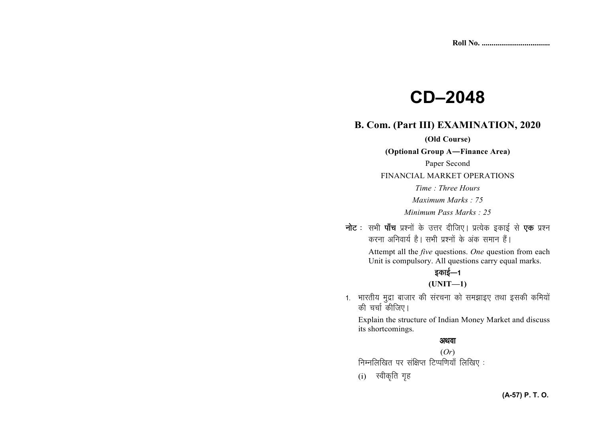# **CD–2048**

#### **B. Com. (Part III) EXAMINATION, 2020**

#### **(Old Course)**

**(Optional Group A—Finance Area)** 

Paper Second

FINANCIAL MARKET OPERATIONS

*Time : Three Hours* 

*Maximum Marks : 75* 

*Minimum Pass Marks : 25* 

नोट : सभी पाँच प्रश्नों के उत्तर दीजिए। प्रत्येक इकाई से **एक** प्रश्न करना अनिवार्य है। सभी प्रश्नों के अंक समान हैं।

> Attempt all the *five* questions. *One* question from each Unit is compulsory. All questions carry equal marks.

# इकाई—1

**(UNIT—1)** 

1. भारतीय मुद्रा बाजार की संरचना को समझाइए तथा इसकी कमियों की चर्चा कीजिए।

Explain the structure of Indian Money Market and discuss its shortcomings.

#### अथवा (*Or*)

.<br>निम्नलिखित पर संक्षिप्त टिप्पणियाँ लिखिए :

 $(i)$  स्वीकृति गृह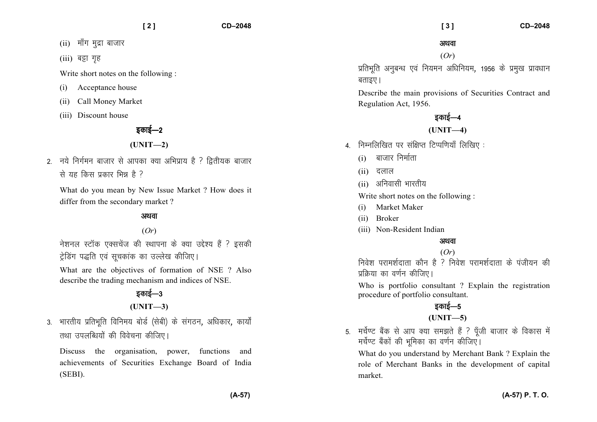$(ii)$  माँग मुद्रा बाजार

(iii) बट्टा गृह

Write short notes on the following :

- (i) Acceptance house
- (ii) Call Money Market
- (iii) Discount house

# डकाई—2

#### **(UNIT—2)**

 $2$  नये निर्गमन बाजार से आपका क्या अभिप्राय है ? द्वितीयक बाजार से यह किस पकार भित्र है ?

What do you mean by New Issue Market ? How does it differ from the secondary market ?

#### अथवा

## (*Or*)

नेशनल स्टॉक एक्सचेंज की स्थापना के क्या उद्देश्य हैं ? इसकी ट्रेडिंग पद्धति एवं सुचकांक का उल्लेख कीजिए।

What are the objectives of formation of NSE ? Also describe the trading mechanism and indices of NSE.

## डकाई—3

## **(UNIT—3)**

3. भारतीय प्रतिभति विनिमय बोर्ड (सेबी) के संगठन, अधिकार, कार्यों तथा उपलब्धियों की विवेचना कीजिए।

Discuss the organisation, power, functions and achievements of Securities Exchange Board of India (SEBI).

#### अथवा

#### (*Or*)

प्रतिभृति अनुबन्ध एवं नियमन अधिनियम, 1956 के प्रमुख प्रावधान बताइए ।

Describe the main provisions of Securities Contract and Regulation Act, 1956.

# डकाई—4

#### **(UNIT—4)**

- 4. निम्नलिखित पर संक्षिप्त टिप्पणियाँ लिखिए:
	- $(i)$  बाजार निर्माता
	- $(ii)$  दलाल
	- $(ii)$  अनिवासी भारतीय

Write short notes on the following :

- (i) Market Maker
- (ii) Broker
- (iii) Non-Resident Indian

#### अथवा

## (*Or*)

निवेश परामर्शदाता कौन है ? निवेश परामर्शदाता के पंजीयन की प्रक्रिया का वर्णन कीजिए।

Who is portfolio consultant ? Explain the registration procedure of portfolio consultant.

# डकाई—5

## **(UNIT—5)**

5. मर्चेण्ट बैंक से आप क्या समझते हैं ? पँजी बाजार के विकास में मर्चेण्ट बैंकों की भूमिका का वर्णन कीजिए।

What do you understand by Merchant Bank ? Explain the role of Merchant Banks in the development of capital market.